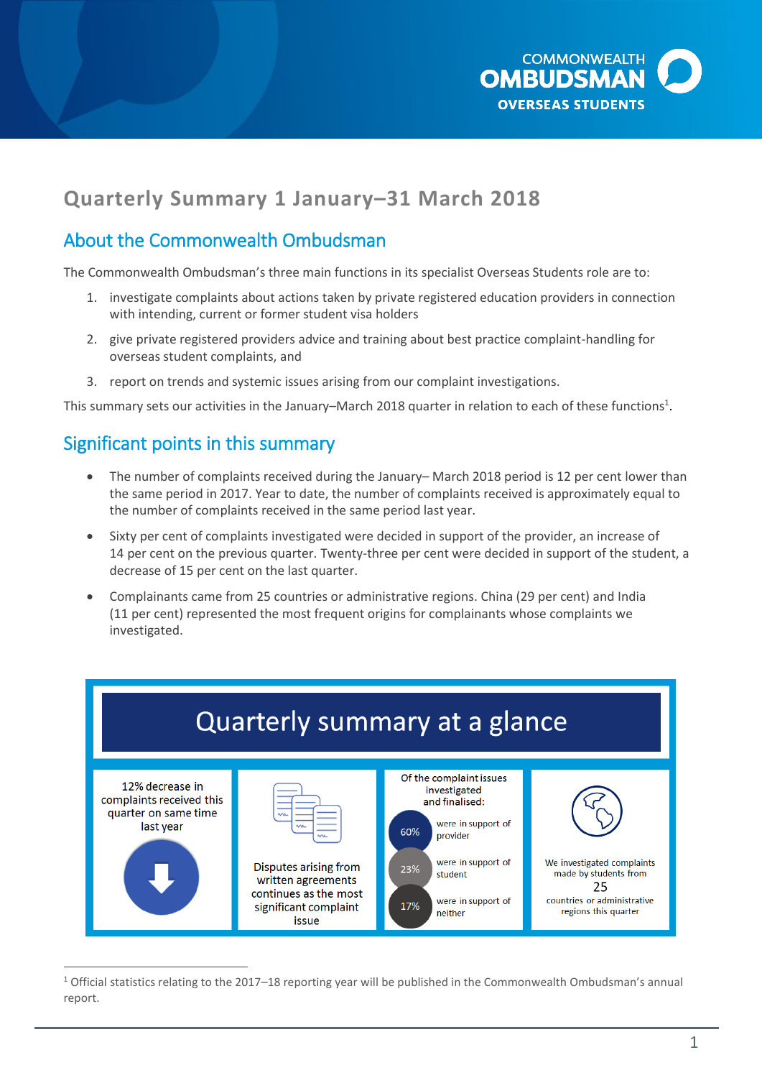

# **Quarterly Summary 1 January–31 March 2018**

## About the Commonwealth Ombudsman

The Commonwealth Ombudsman's three main functions in its specialist Overseas Students role are to:

- 1. investigate complaints about actions taken by private registered education providers in connection with intending, current or former student visa holders
- 2. give private registered providers advice and training about best practice complaint-handling for overseas student complaints, and
- 3. report on trends and systemic issues arising from our complaint investigations.

This summary sets our activities in the January–March 2018 quarter in relation to each of these functions<sup>1</sup>.

### Significant points in this summary

- The number of complaints received during the January– March 2018 period is 12 per cent lower than the same period in 2017. Year to date, the number of complaints received is approximately equal to the number of complaints received in the same period last year.
- Sixty per cent of complaints investigated were decided in support of the provider, an increase of 14 per cent on the previous quarter. Twenty-three per cent were decided in support of the student, a decrease of 15 per cent on the last quarter.
- Complainants came from 25 countries or administrative regions. China (29 per cent) and India (11 per cent) represented the most frequent origins for complainants whose complaints we investigated.



 $\overline{a}$ <sup>1</sup> Official statistics relating to the 2017–18 reporting year will be published in the Commonwealth Ombudsman's annual report.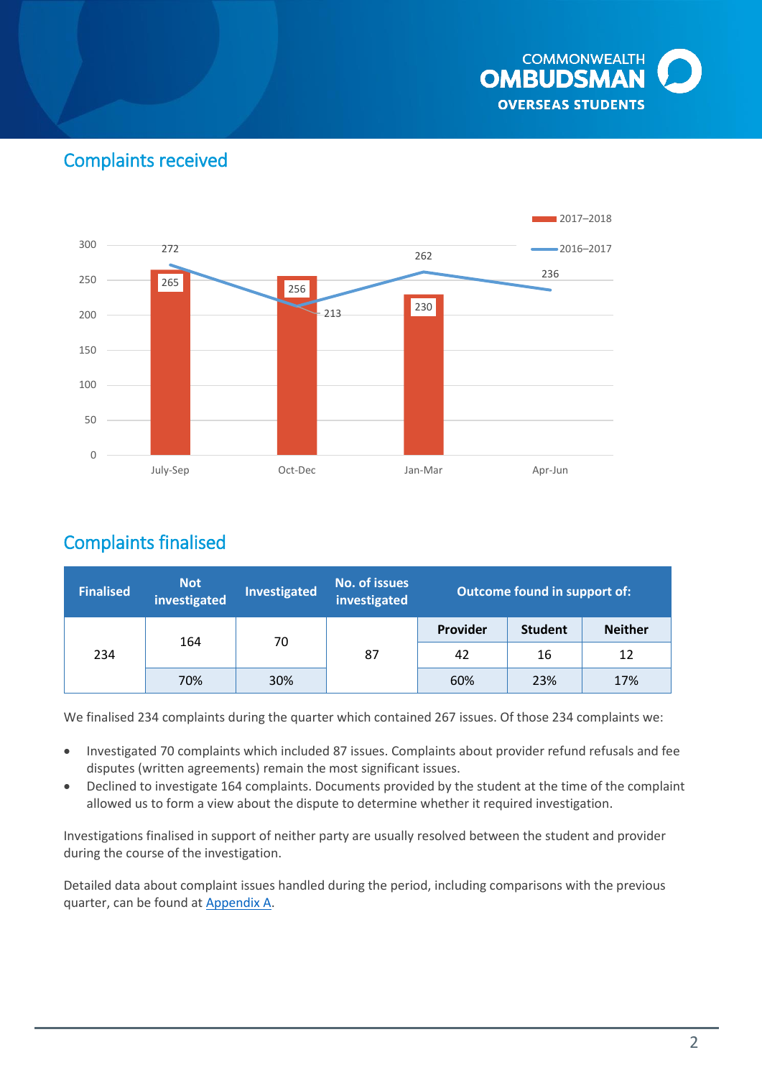

## Complaints received



## Complaints finalised

| <b>Finalised</b> | <b>Not</b><br>investigated | Investigated | No. of issues<br>investigated | <b>Outcome found in support of:</b> |                |                |
|------------------|----------------------------|--------------|-------------------------------|-------------------------------------|----------------|----------------|
| 234              | 164                        | 70           | 87                            | Provider                            | <b>Student</b> | <b>Neither</b> |
|                  |                            |              |                               | 42                                  | 16             | 12             |
|                  | 70%                        | 30%          |                               | 60%                                 | 23%            | 17%            |

We finalised 234 complaints during the quarter which contained 267 issues. Of those 234 complaints we:

- Investigated 70 complaints which included 87 issues. Complaints about provider refund refusals and fee disputes (written agreements) remain the most significant issues.
- Declined to investigate 164 complaints. Documents provided by the student at the time of the complaint allowed us to form a view about the dispute to determine whether it required investigation.

Investigations finalised in support of neither party are usually resolved between the student and provider during the course of the investigation.

Detailed data about complaint issues handled during the period, including comparisons with the previous quarter, can be found at [Appendix A.](#page-8-0)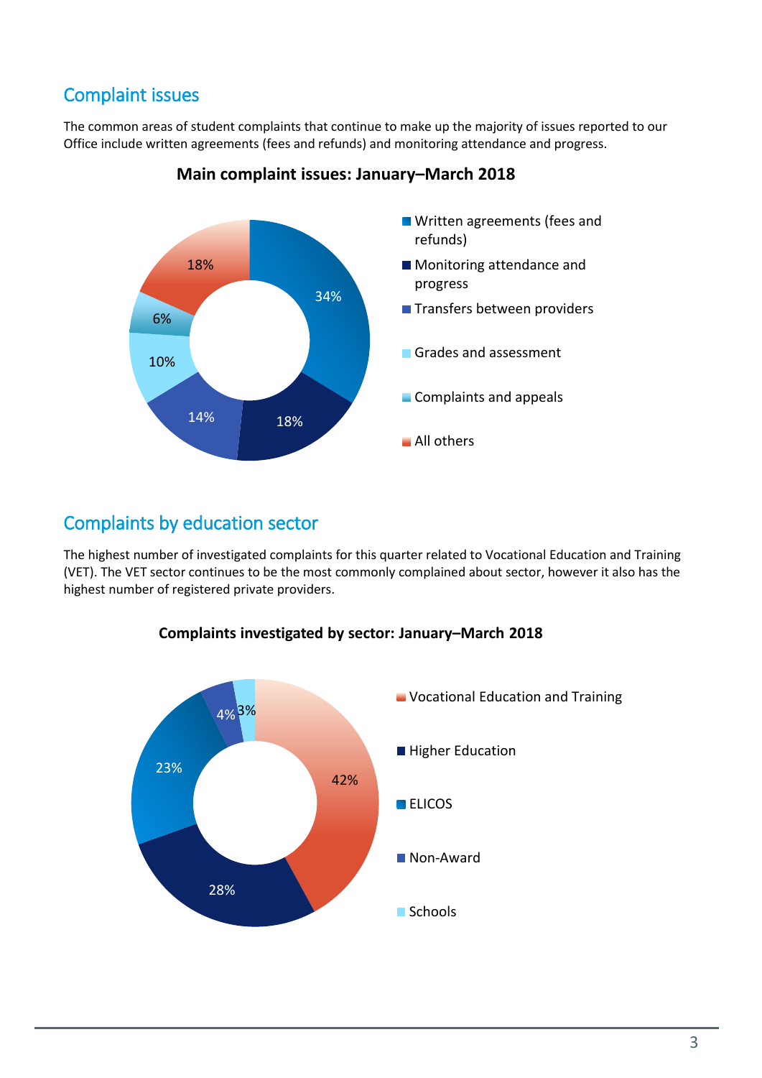# Complaint issues

The common areas of student complaints that continue to make up the majority of issues reported to our Office include written agreements (fees and refunds) and monitoring attendance and progress.



### **Main complaint issues: January–March 2018**

## Complaints by education sector

The highest number of investigated complaints for this quarter related to Vocational Education and Training (VET). The VET sector continues to be the most commonly complained about sector, however it also has the highest number of registered private providers.



### **Complaints investigated by sector: January–March 2018**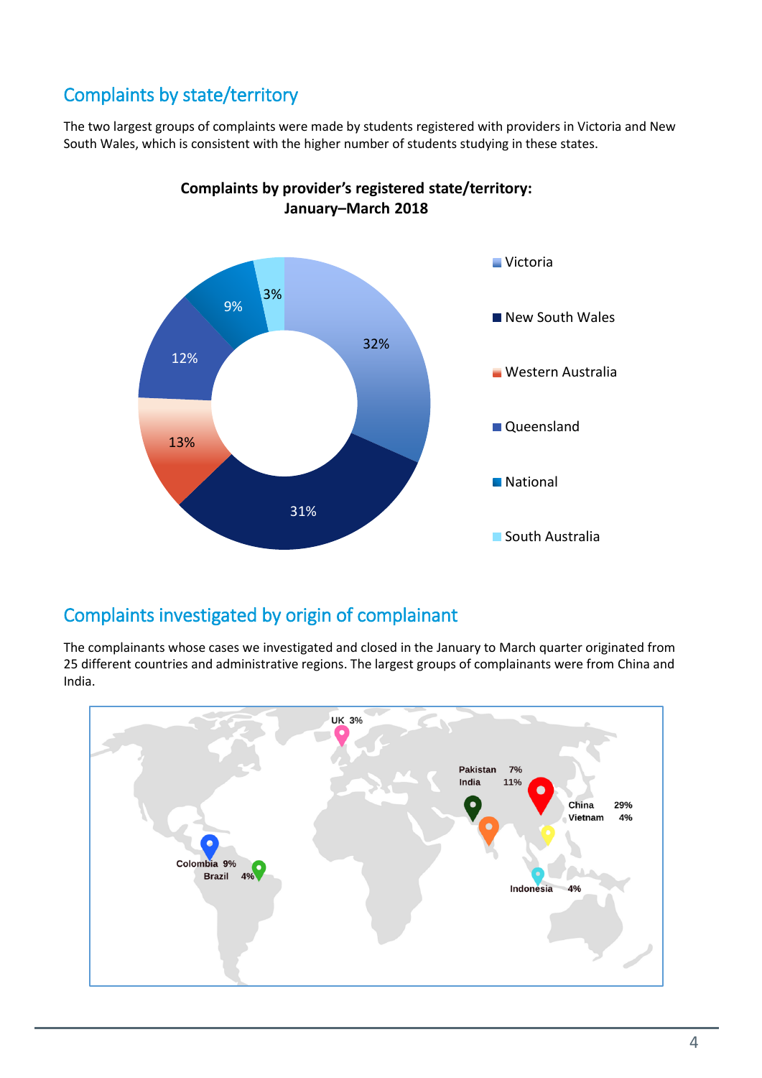# Complaints by state/territory

The two largest groups of complaints were made by students registered with providers in Victoria and New South Wales, which is consistent with the higher number of students studying in these states.



**Complaints by provider's registered state/territory: January–March 2018**

## Complaints investigated by origin of complainant

The complainants whose cases we investigated and closed in the January to March quarter originated from 25 different countries and administrative regions. The largest groups of complainants were from China and India.

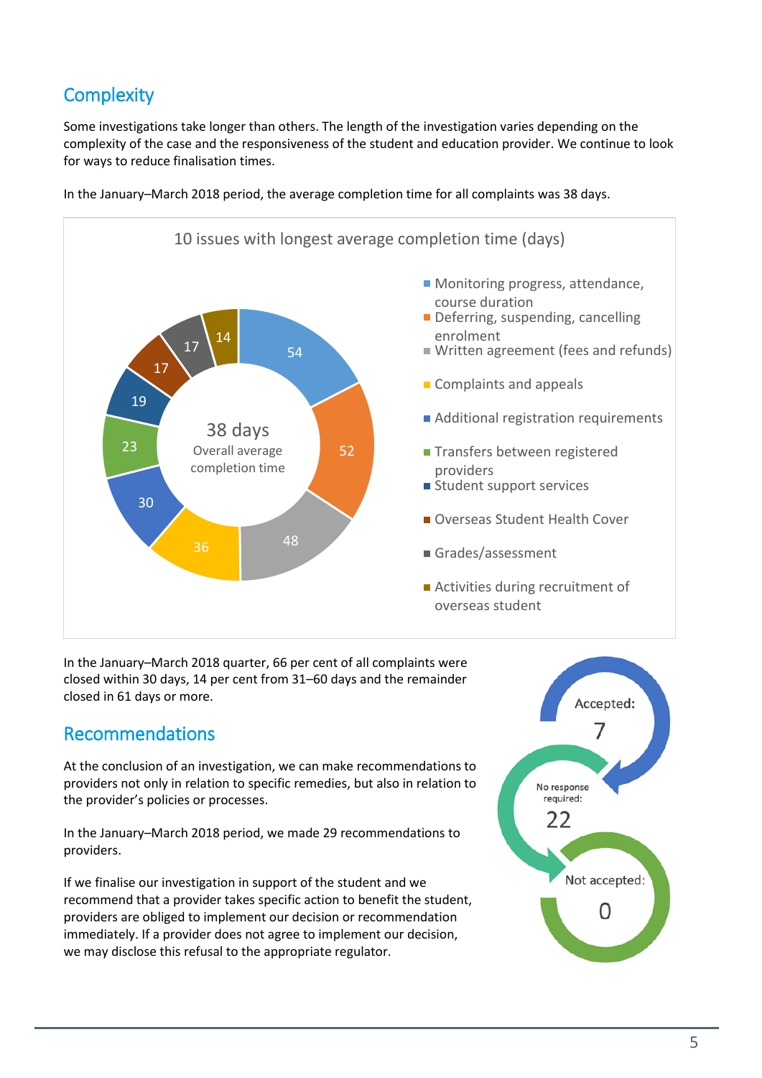# **Complexity**

Some investigations take longer than others. The length of the investigation varies depending on the complexity of the case and the responsiveness of the student and education provider. We continue to look for ways to reduce finalisation times.



In the January–March 2018 period, the average completion time for all complaints was 38 days.

In the January–March 2018 quarter, 66 per cent of all complaints were closed within 30 days, 14 per cent from 31–60 days and the remainder closed in 61 days or more.

### Recommendations

At the conclusion of an investigation, we can make recommendations to providers not only in relation to specific remedies, but also in relation to the provider's policies or processes.

In the January–March 2018 period, we made 29 recommendations to providers.

If we finalise our investigation in support of the student and we recommend that a provider takes specific action to benefit the student, providers are obliged to implement our decision or recommendation immediately. If a provider does not agree to implement our decision, we may disclose this refusal to the appropriate regulator.

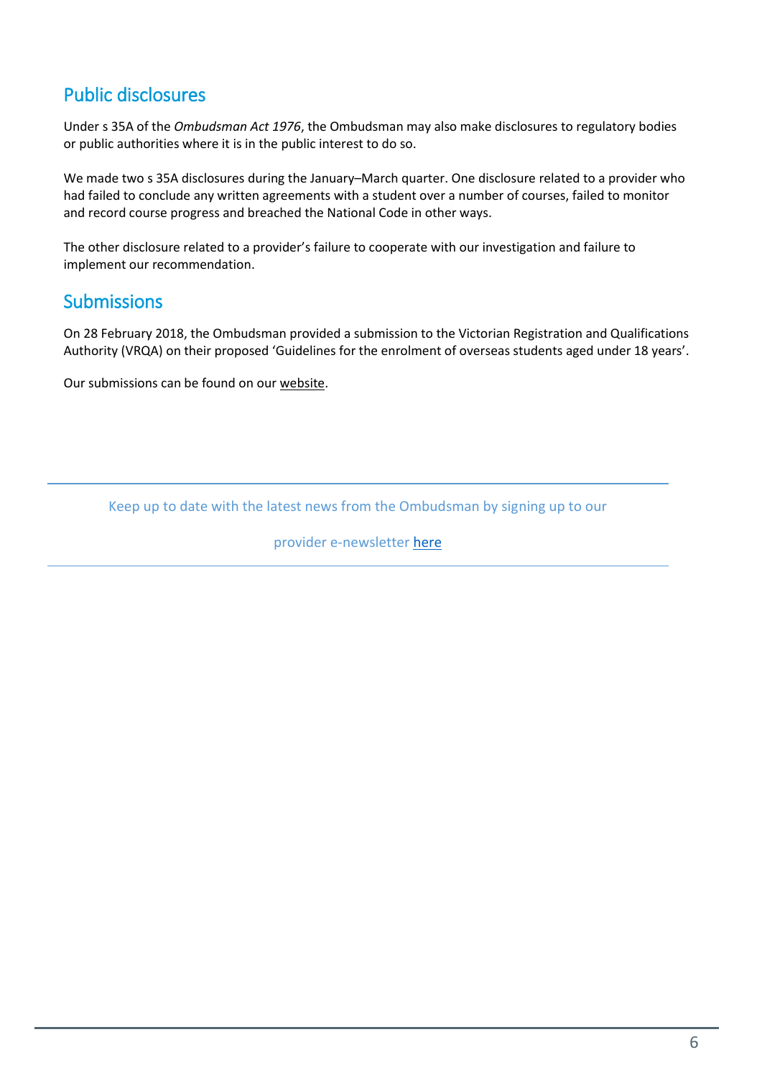# Public disclosures

Under s 35A of the *Ombudsman Act 1976*, the Ombudsman may also make disclosures to regulatory bodies or public authorities where it is in the public interest to do so.

We made two s 35A disclosures during the January–March quarter. One disclosure related to a provider who had failed to conclude any written agreements with a student over a number of courses, failed to monitor and record course progress and breached the National Code in other ways.

The other disclosure related to a provider's failure to cooperate with our investigation and failure to implement our recommendation.

### **Submissions**

On 28 February 2018, the Ombudsman provided a submission to the Victorian Registration and Qualifications Authority (VRQA) on their proposed 'Guidelines for the enrolment of overseas students aged under 18 years'.

Our submissions can be found on ou[r website.](http://www.ombudsman.gov.au/about/overseas-students/oso-publications#submissions)

Keep up to date with the latest news from the Ombudsman by signing up to our

provider e-newsletter [here](http://www.ombudsman.gov.au/news-and-media/e-bulletins/overseas-student-provider-e-news/subscribe-to-the-overseas-student-ombudsman-provider-e-newsletter)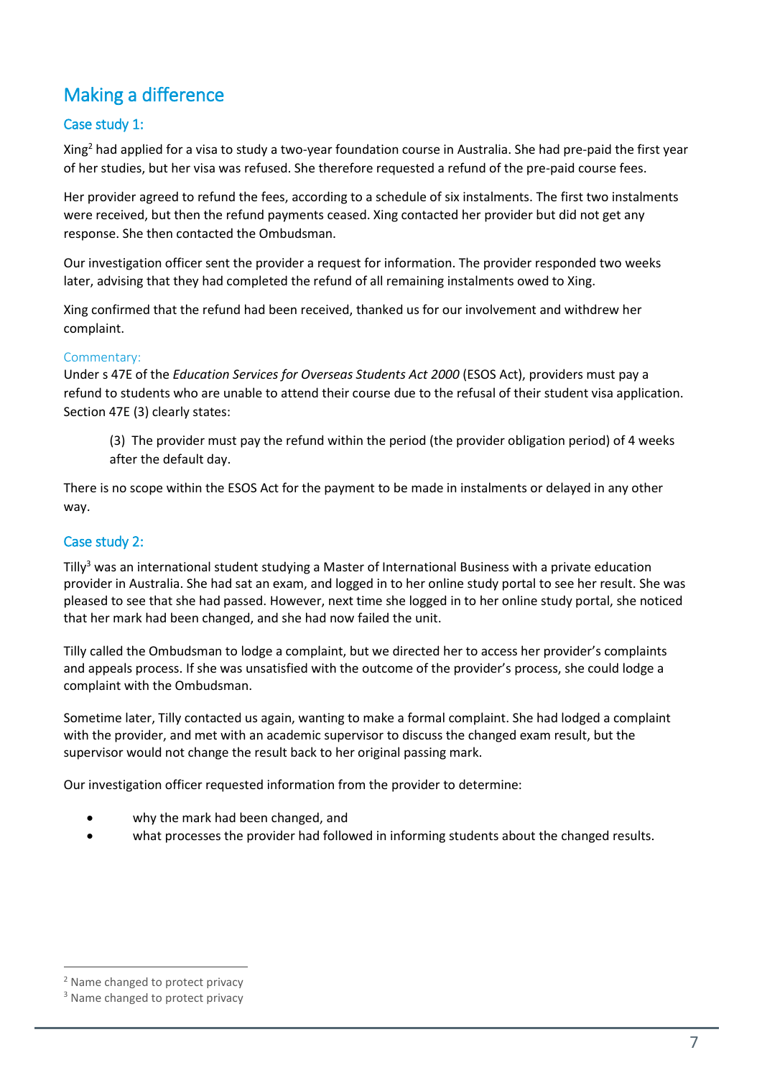# Making a difference

### Case study 1:

Xing<sup>2</sup> had applied for a visa to study a two-year foundation course in Australia. She had pre-paid the first year of her studies, but her visa was refused. She therefore requested a refund of the pre-paid course fees.

Her provider agreed to refund the fees, according to a schedule of six instalments. The first two instalments were received, but then the refund payments ceased. Xing contacted her provider but did not get any response. She then contacted the Ombudsman.

Our investigation officer sent the provider a request for information. The provider responded two weeks later, advising that they had completed the refund of all remaining instalments owed to Xing.

Xing confirmed that the refund had been received, thanked us for our involvement and withdrew her complaint.

#### Commentary:

Under s 47E of the *Education Services for Overseas Students Act 2000* (ESOS Act), providers must pay a refund to students who are unable to attend their course due to the refusal of their student visa application. Section 47E (3) clearly states:

(3) The provider must pay the refund within the period (the provider obligation period) of 4 weeks after the default day.

There is no scope within the ESOS Act for the payment to be made in instalments or delayed in any other way.

### Case study 2:

Tilly<sup>3</sup> was an international student studying a Master of International Business with a private education provider in Australia. She had sat an exam, and logged in to her online study portal to see her result. She was pleased to see that she had passed. However, next time she logged in to her online study portal, she noticed that her mark had been changed, and she had now failed the unit.

Tilly called the Ombudsman to lodge a complaint, but we directed her to access her provider's complaints and appeals process. If she was unsatisfied with the outcome of the provider's process, she could lodge a complaint with the Ombudsman.

Sometime later, Tilly contacted us again, wanting to make a formal complaint. She had lodged a complaint with the provider, and met with an academic supervisor to discuss the changed exam result, but the supervisor would not change the result back to her original passing mark.

Our investigation officer requested information from the provider to determine:

- why the mark had been changed, and
- what processes the provider had followed in informing students about the changed results.

 $\overline{a}$ 

<sup>2</sup> Name changed to protect privacy

<sup>&</sup>lt;sup>3</sup> Name changed to protect privacy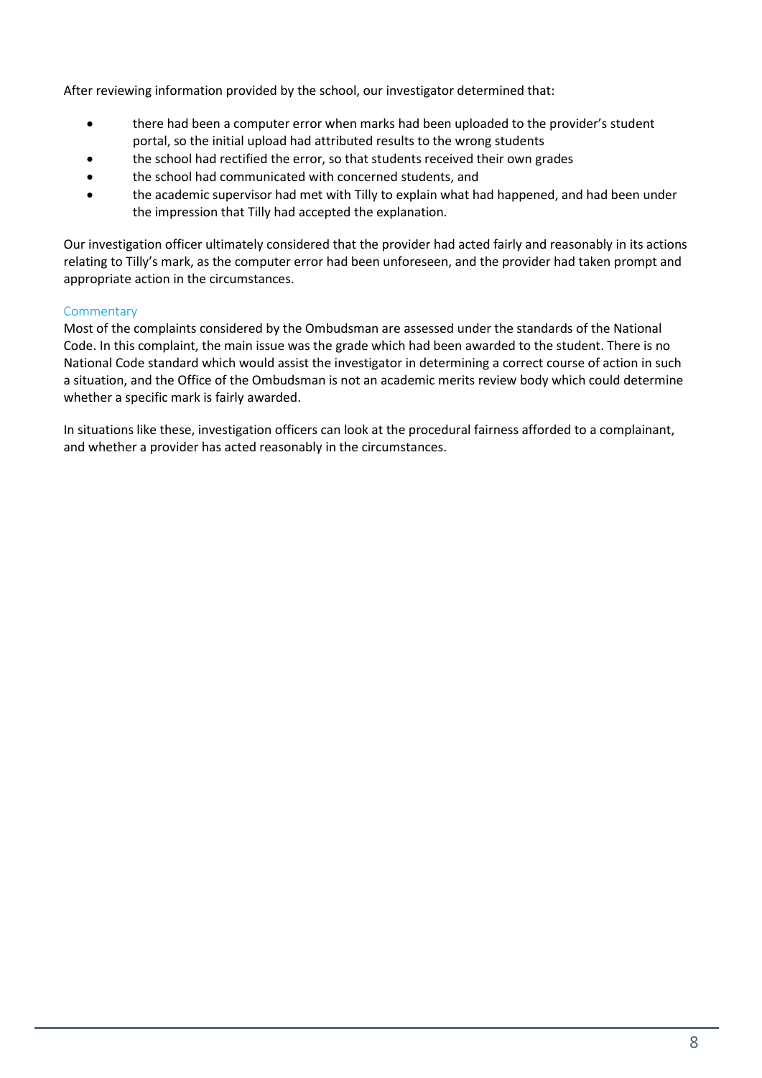After reviewing information provided by the school, our investigator determined that:

- there had been a computer error when marks had been uploaded to the provider's student portal, so the initial upload had attributed results to the wrong students
- the school had rectified the error, so that students received their own grades
- the school had communicated with concerned students, and
- the academic supervisor had met with Tilly to explain what had happened, and had been under the impression that Tilly had accepted the explanation.

Our investigation officer ultimately considered that the provider had acted fairly and reasonably in its actions relating to Tilly's mark, as the computer error had been unforeseen, and the provider had taken prompt and appropriate action in the circumstances.

#### **Commentary**

Most of the complaints considered by the Ombudsman are assessed under the standards of the National Code. In this complaint, the main issue was the grade which had been awarded to the student. There is no National Code standard which would assist the investigator in determining a correct course of action in such a situation, and the Office of the Ombudsman is not an academic merits review body which could determine whether a specific mark is fairly awarded.

In situations like these, investigation officers can look at the procedural fairness afforded to a complainant, and whether a provider has acted reasonably in the circumstances.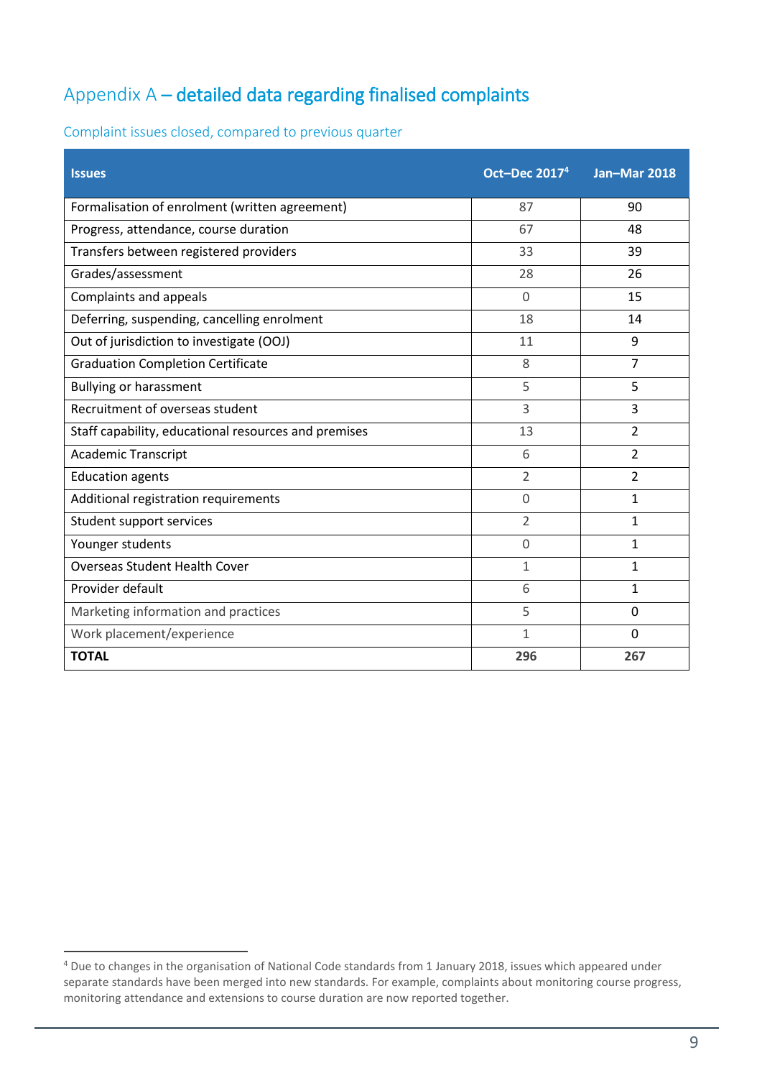# <span id="page-8-0"></span>Appendix A – detailed data regarding finalised complaints

Complaint issues closed, compared to previous quarter

| <b>Issues</b>                                        | <b>Oct-Dec 20174</b> | <b>Jan-Mar 2018</b> |
|------------------------------------------------------|----------------------|---------------------|
| Formalisation of enrolment (written agreement)       | 87                   | 90                  |
| Progress, attendance, course duration                | 67                   | 48                  |
| Transfers between registered providers               | 33                   | 39                  |
| Grades/assessment                                    | 28                   | 26                  |
| Complaints and appeals                               | $\overline{0}$       | 15                  |
| Deferring, suspending, cancelling enrolment          | 18                   | 14                  |
| Out of jurisdiction to investigate (OOJ)             | 11                   | 9                   |
| <b>Graduation Completion Certificate</b>             | 8                    | $\overline{7}$      |
| <b>Bullying or harassment</b>                        | 5                    | 5                   |
| Recruitment of overseas student                      | 3                    | 3                   |
| Staff capability, educational resources and premises | 13                   | $\overline{2}$      |
| <b>Academic Transcript</b>                           | 6                    | $\overline{2}$      |
| <b>Education agents</b>                              | $\overline{2}$       | $\overline{2}$      |
| Additional registration requirements                 | $\Omega$             | 1                   |
| Student support services                             | $\overline{2}$       | 1                   |
| Younger students                                     | 0                    | 1                   |
| <b>Overseas Student Health Cover</b>                 | $\mathbf{1}$         | $\mathbf{1}$        |
| Provider default                                     | 6                    | 1                   |
| Marketing information and practices                  | 5                    | $\mathbf 0$         |
| Work placement/experience                            | 1                    | $\mathbf 0$         |
| <b>TOTAL</b>                                         | 296                  | 267                 |

 $\overline{a}$ 

<sup>&</sup>lt;sup>4</sup> Due to changes in the organisation of National Code standards from 1 January 2018, issues which appeared under separate standards have been merged into new standards. For example, complaints about monitoring course progress, monitoring attendance and extensions to course duration are now reported together.